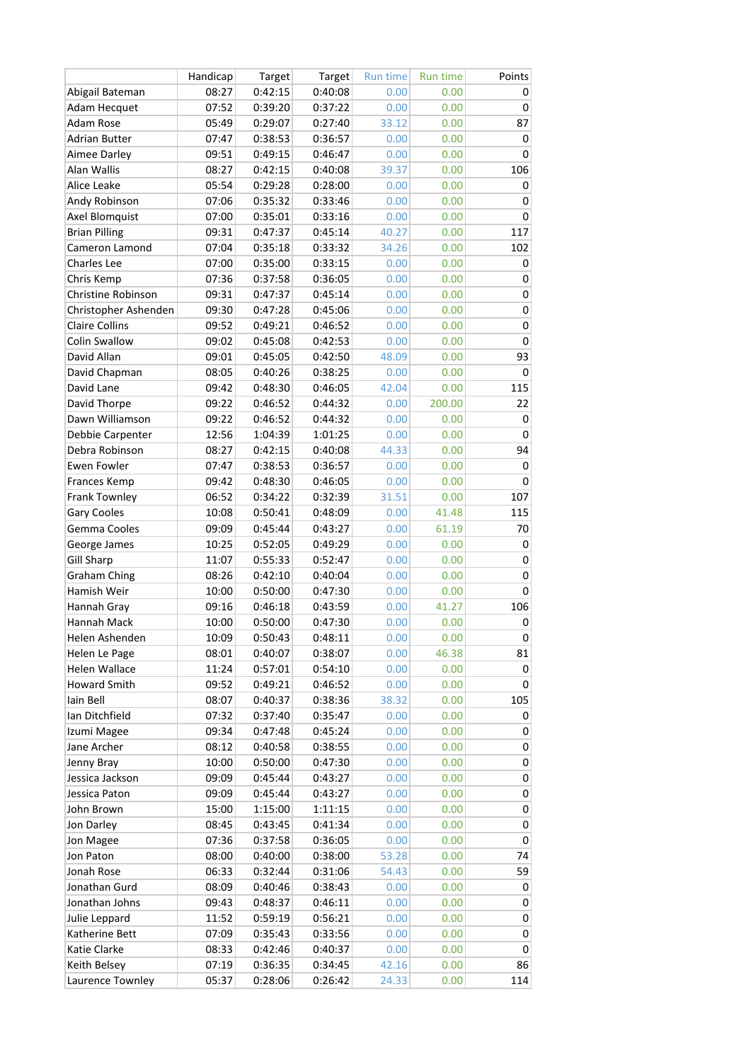|                       | Handicap | Target  | Target  | <b>Run time</b> | <b>Run time</b> | Points    |
|-----------------------|----------|---------|---------|-----------------|-----------------|-----------|
| Abigail Bateman       | 08:27    | 0:42:15 | 0:40:08 | 0.00            | 0.00            | 0         |
| Adam Hecquet          | 07:52    | 0:39:20 | 0:37:22 | 0.00            | 0.00            | 0         |
| Adam Rose             | 05:49    | 0:29:07 | 0:27:40 | 33.12           | 0.00            | 87        |
| <b>Adrian Butter</b>  | 07:47    | 0:38:53 | 0:36:57 | 0.00            | 0.00            | 0         |
| Aimee Darley          | 09:51    | 0:49:15 | 0:46:47 | 0.00            | 0.00            | 0         |
| Alan Wallis           | 08:27    | 0:42:15 | 0:40:08 | 39.37           | 0.00            | 106       |
| Alice Leake           | 05:54    | 0:29:28 | 0:28:00 | 0.00            | 0.00            | 0         |
| Andy Robinson         | 07:06    | 0:35:32 | 0:33:46 | 0.00            | 0.00            | 0         |
| Axel Blomquist        | 07:00    | 0:35:01 | 0:33:16 | 0.00            | 0.00            | 0         |
| <b>Brian Pilling</b>  | 09:31    | 0:47:37 | 0:45:14 | 40.27           | 0.00            | 117       |
| Cameron Lamond        | 07:04    | 0:35:18 | 0:33:32 | 34.26           | 0.00            | 102       |
| Charles Lee           |          |         |         | 0.00            |                 |           |
|                       | 07:00    | 0:35:00 | 0:33:15 |                 | 0.00            | 0         |
| Chris Kemp            | 07:36    | 0:37:58 | 0:36:05 | 0.00            | 0.00            | 0         |
| Christine Robinson    | 09:31    | 0:47:37 | 0:45:14 | 0.00            | 0.00            | 0         |
| Christopher Ashenden  | 09:30    | 0:47:28 | 0:45:06 | 0.00            | 0.00            | 0         |
| <b>Claire Collins</b> | 09:52    | 0:49:21 | 0:46:52 | 0.00            | 0.00            | 0         |
| Colin Swallow         | 09:02    | 0:45:08 | 0:42:53 | 0.00            | 0.00            | 0         |
| David Allan           | 09:01    | 0:45:05 | 0:42:50 | 48.09           | 0.00            | 93        |
| David Chapman         | 08:05    | 0:40:26 | 0:38:25 | 0.00            | 0.00            | 0         |
| David Lane            | 09:42    | 0:48:30 | 0:46:05 | 42.04           | 0.00            | 115       |
| David Thorpe          | 09:22    | 0:46:52 | 0:44:32 | 0.00            | 200.00          | 22        |
| Dawn Williamson       | 09:22    | 0:46:52 | 0:44:32 | 0.00            | 0.00            | 0         |
| Debbie Carpenter      | 12:56    | 1:04:39 | 1:01:25 | 0.00            | 0.00            | 0         |
| Debra Robinson        | 08:27    | 0:42:15 | 0:40:08 | 44.33           | 0.00            | 94        |
| <b>Ewen Fowler</b>    | 07:47    | 0:38:53 | 0:36:57 | 0.00            | 0.00            | 0         |
| Frances Kemp          | 09:42    | 0:48:30 | 0:46:05 | 0.00            | 0.00            | 0         |
| Frank Townley         | 06:52    | 0:34:22 | 0:32:39 | 31.51           | 0.00            | 107       |
| Gary Cooles           | 10:08    | 0:50:41 | 0:48:09 | 0.00            | 41.48           | 115       |
| Gemma Cooles          | 09:09    | 0:45:44 | 0:43:27 | 0.00            | 61.19           | 70        |
| George James          | 10:25    | 0:52:05 | 0:49:29 | 0.00            | 0.00            | 0         |
| <b>Gill Sharp</b>     | 11:07    | 0:55:33 | 0:52:47 | 0.00            | 0.00            | 0         |
| <b>Graham Ching</b>   | 08:26    | 0:42:10 | 0:40:04 | 0.00            | 0.00            | 0         |
| Hamish Weir           | 10:00    | 0:50:00 | 0:47:30 | 0.00            | 0.00            | 0         |
| Hannah Gray           | 09:16    | 0:46:18 | 0:43:59 | 0.00            | 41.27           | 106       |
| Hannah Mack           | 10:00    | 0:50:00 | 0:47:30 | 0.00            | 0.00            | $\pmb{0}$ |
| Helen Ashenden        | 10:09    | 0:50:43 | 0:48:11 | 0.00            | 0.00            | 0         |
| Helen Le Page         | 08:01    | 0:40:07 | 0:38:07 | 0.00            | 46.38           | 81        |
| <b>Helen Wallace</b>  | 11:24    | 0:57:01 | 0:54:10 | 0.00            | 0.00            | 0         |
| <b>Howard Smith</b>   | 09:52    | 0:49:21 | 0:46:52 | 0.00            | 0.00            | 0         |
| lain Bell             | 08:07    | 0:40:37 | 0:38:36 | 38.32           | 0.00            | 105       |
| Ian Ditchfield        | 07:32    | 0:37:40 | 0:35:47 | 0.00            | 0.00            | 0         |
| Izumi Magee           | 09:34    | 0:47:48 | 0:45:24 | 0.00            | 0.00            | 0         |
| Jane Archer           | 08:12    | 0:40:58 | 0:38:55 | 0.00            | 0.00            | 0         |
| Jenny Bray            | 10:00    | 0:50:00 | 0:47:30 | 0.00            | 0.00            | 0         |
| Jessica Jackson       | 09:09    | 0:45:44 | 0:43:27 | 0.00            | 0.00            | 0         |
| Jessica Paton         | 09:09    | 0:45:44 | 0:43:27 | 0.00            | 0.00            | 0         |
| John Brown            | 15:00    | 1:15:00 | 1:11:15 | 0.00            | 0.00            | 0         |
| Jon Darley            | 08:45    | 0:43:45 | 0:41:34 | 0.00            | 0.00            | 0         |
| Jon Magee             | 07:36    | 0:37:58 | 0:36:05 | 0.00            | 0.00            | 0         |
| Jon Paton             | 08:00    | 0:40:00 | 0:38:00 | 53.28           | 0.00            | 74        |
| Jonah Rose            | 06:33    | 0:32:44 | 0:31:06 | 54.43           | 0.00            | 59        |
| Jonathan Gurd         | 08:09    | 0:40:46 | 0:38:43 | 0.00            | 0.00            | 0         |
| Jonathan Johns        | 09:43    | 0:48:37 | 0:46:11 | 0.00            | 0.00            | 0         |
| Julie Leppard         | 11:52    | 0:59:19 | 0:56:21 | 0.00            | 0.00            | 0         |
| Katherine Bett        | 07:09    | 0:35:43 | 0:33:56 | 0.00            | 0.00            | 0         |
| Katie Clarke          | 08:33    | 0:42:46 | 0:40:37 | 0.00            | 0.00            | 0         |
| Keith Belsey          | 07:19    | 0:36:35 | 0:34:45 | 42.16           | 0.00            | 86        |
| Laurence Townley      | 05:37    | 0:28:06 | 0:26:42 | 24.33           | 0.00            | 114       |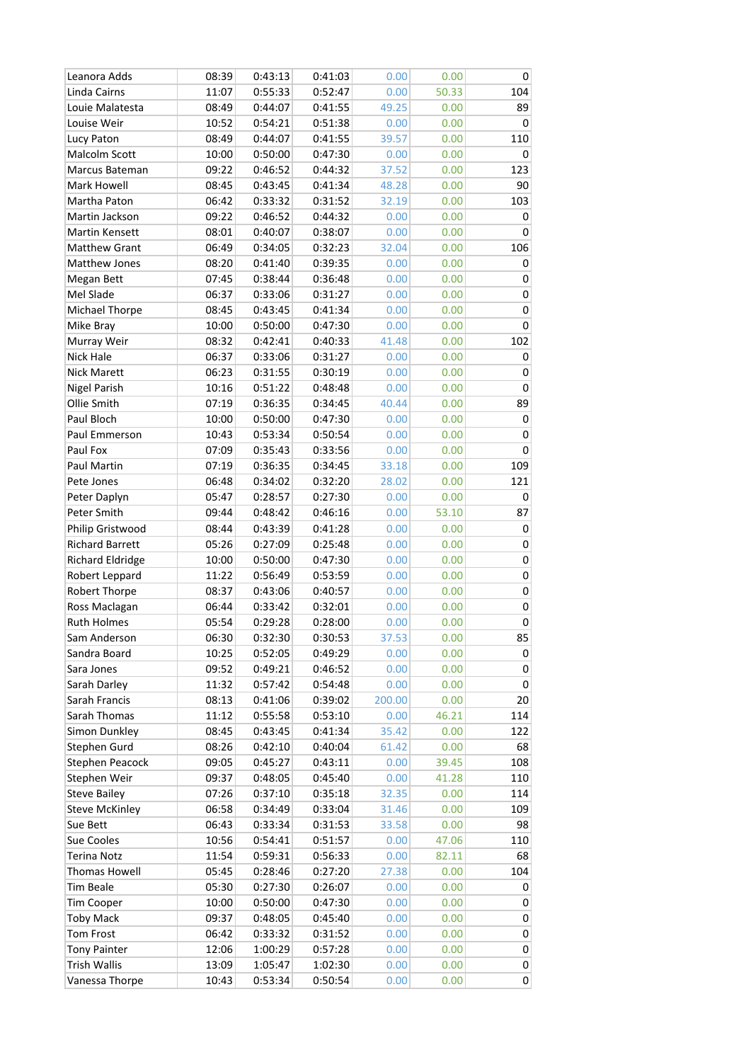| Leanora Adds            | 08:39 | 0:43:13 | 0:41:03 | 0.00   | 0.00  | 0         |
|-------------------------|-------|---------|---------|--------|-------|-----------|
| Linda Cairns            | 11:07 | 0:55:33 | 0:52:47 | 0.00   | 50.33 | 104       |
| Louie Malatesta         | 08:49 | 0:44:07 | 0:41:55 | 49.25  | 0.00  | 89        |
| Louise Weir             | 10:52 | 0:54:21 | 0:51:38 | 0.00   | 0.00  | 0         |
| Lucy Paton              | 08:49 | 0:44:07 | 0:41:55 | 39.57  | 0.00  | 110       |
| Malcolm Scott           | 10:00 | 0:50:00 | 0:47:30 | 0.00   | 0.00  | 0         |
| Marcus Bateman          | 09:22 | 0:46:52 | 0:44:32 | 37.52  | 0.00  | 123       |
| Mark Howell             | 08:45 | 0:43:45 | 0:41:34 | 48.28  | 0.00  | 90        |
| Martha Paton            | 06:42 | 0:33:32 | 0:31:52 | 32.19  | 0.00  | 103       |
| Martin Jackson          | 09:22 | 0:46:52 | 0:44:32 | 0.00   | 0.00  | 0         |
| Martin Kensett          | 08:01 | 0:40:07 | 0:38:07 | 0.00   | 0.00  | 0         |
| <b>Matthew Grant</b>    | 06:49 | 0:34:05 | 0:32:23 | 32.04  | 0.00  | 106       |
| Matthew Jones           | 08:20 | 0:41:40 | 0:39:35 | 0.00   | 0.00  | 0         |
| Megan Bett              | 07:45 | 0:38:44 | 0:36:48 | 0.00   | 0.00  | 0         |
| Mel Slade               | 06:37 | 0:33:06 | 0:31:27 | 0.00   | 0.00  | 0         |
| Michael Thorpe          | 08:45 | 0:43:45 | 0:41:34 | 0.00   | 0.00  | 0         |
| Mike Bray               | 10:00 | 0:50:00 | 0:47:30 | 0.00   | 0.00  | 0         |
| Murray Weir             | 08:32 | 0:42:41 | 0:40:33 | 41.48  | 0.00  | 102       |
| Nick Hale               | 06:37 | 0:33:06 | 0:31:27 | 0.00   | 0.00  | 0         |
| <b>Nick Marett</b>      | 06:23 | 0:31:55 | 0:30:19 | 0.00   | 0.00  | 0         |
| <b>Nigel Parish</b>     | 10:16 | 0:51:22 | 0:48:48 | 0.00   | 0.00  | 0         |
| Ollie Smith             | 07:19 | 0:36:35 | 0:34:45 | 40.44  | 0.00  | 89        |
| Paul Bloch              | 10:00 | 0:50:00 | 0:47:30 | 0.00   | 0.00  | $\pmb{0}$ |
| Paul Emmerson           | 10:43 | 0:53:34 | 0:50:54 | 0.00   | 0.00  | 0         |
| Paul Fox                | 07:09 | 0:35:43 | 0:33:56 | 0.00   | 0.00  | 0         |
| Paul Martin             | 07:19 | 0:36:35 | 0:34:45 | 33.18  | 0.00  | 109       |
| Pete Jones              | 06:48 | 0:34:02 | 0:32:20 | 28.02  | 0.00  | 121       |
| Peter Daplyn            | 05:47 | 0:28:57 | 0:27:30 | 0.00   | 0.00  | 0         |
| Peter Smith             | 09:44 | 0:48:42 | 0:46:16 | 0.00   | 53.10 | 87        |
| Philip Gristwood        | 08:44 | 0:43:39 | 0:41:28 | 0.00   | 0.00  | 0         |
| <b>Richard Barrett</b>  | 05:26 | 0:27:09 | 0:25:48 | 0.00   | 0.00  | 0         |
| <b>Richard Eldridge</b> | 10:00 | 0:50:00 | 0:47:30 | 0.00   | 0.00  | 0         |
| Robert Leppard          | 11:22 | 0:56:49 | 0:53:59 | 0.00   | 0.00  | 0         |
| <b>Robert Thorpe</b>    | 08:37 | 0:43:06 | 0:40:57 | 0.00   | 0.00  | 0         |
| Ross Maclagan           | 06:44 | 0:33:42 | 0:32:01 | 0.00   | 0.00  | 0         |
| <b>Ruth Holmes</b>      | 05:54 | 0:29:28 | 0:28:00 | 0.00   | 0.00  | 0         |
| Sam Anderson            | 06:30 | 0:32:30 | 0:30:53 | 37.53  | 0.00  | 85        |
| Sandra Board            | 10:25 | 0:52:05 | 0:49:29 | 0.00   | 0.00  | 0         |
| Sara Jones              | 09:52 | 0:49:21 | 0:46:52 | 0.00   | 0.00  | 0         |
| Sarah Darley            | 11:32 | 0:57:42 | 0:54:48 | 0.00   | 0.00  | 0         |
| Sarah Francis           | 08:13 | 0:41:06 | 0:39:02 | 200.00 | 0.00  | 20        |
| Sarah Thomas            | 11:12 | 0:55:58 | 0:53:10 | 0.00   | 46.21 | 114       |
| Simon Dunkley           | 08:45 | 0:43:45 | 0:41:34 | 35.42  | 0.00  | 122       |
| Stephen Gurd            | 08:26 | 0:42:10 | 0:40:04 | 61.42  | 0.00  | 68        |
| <b>Stephen Peacock</b>  | 09:05 | 0:45:27 | 0:43:11 | 0.00   | 39.45 | 108       |
| Stephen Weir            | 09:37 | 0:48:05 | 0:45:40 | 0.00   | 41.28 | 110       |
| <b>Steve Bailey</b>     | 07:26 | 0:37:10 | 0:35:18 | 32.35  | 0.00  | 114       |
| <b>Steve McKinley</b>   | 06:58 | 0:34:49 | 0:33:04 | 31.46  | 0.00  | 109       |
| Sue Bett                | 06:43 | 0:33:34 | 0:31:53 | 33.58  | 0.00  | 98        |
| Sue Cooles              | 10:56 | 0:54:41 | 0:51:57 | 0.00   | 47.06 | 110       |
| <b>Terina Notz</b>      | 11:54 | 0:59:31 | 0:56:33 | 0.00   | 82.11 | 68        |
| Thomas Howell           | 05:45 | 0:28:46 | 0:27:20 | 27.38  | 0.00  | 104       |
| <b>Tim Beale</b>        | 05:30 | 0:27:30 | 0:26:07 | 0.00   | 0.00  | 0         |
| Tim Cooper              | 10:00 | 0:50:00 | 0:47:30 | 0.00   | 0.00  | 0         |
| <b>Toby Mack</b>        | 09:37 | 0:48:05 | 0:45:40 | 0.00   | 0.00  | 0         |
| Tom Frost               | 06:42 | 0:33:32 | 0:31:52 | 0.00   | 0.00  | 0         |
| <b>Tony Painter</b>     | 12:06 | 1:00:29 | 0:57:28 | 0.00   | 0.00  | 0         |
| <b>Trish Wallis</b>     | 13:09 | 1:05:47 | 1:02:30 | 0.00   | 0.00  | 0         |
| Vanessa Thorpe          | 10:43 | 0:53:34 | 0:50:54 | 0.00   | 0.00  | 0         |